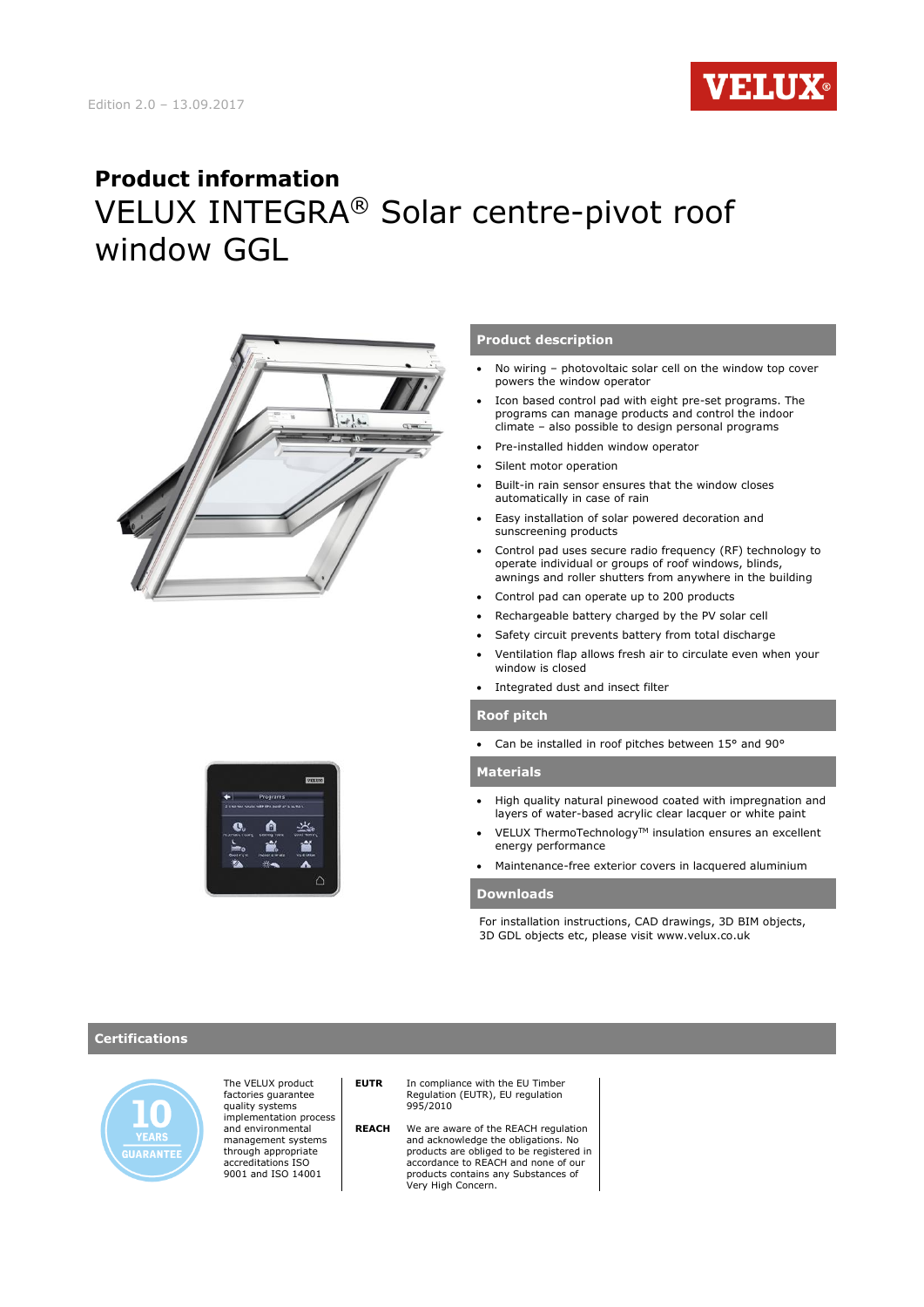

# **Product information** VELUX INTEGRA® Solar centre-pivot roof window GGL





#### **Product description**

- No wiring photovoltaic solar cell on the window top cover powers the window operator
- Icon based control pad with eight pre-set programs. The programs can manage products and control the indoor climate – also possible to design personal programs
- Pre-installed hidden window operator
- Silent motor operation
- Built-in rain sensor ensures that the window closes automatically in case of rain
- Easy installation of solar powered decoration and sunscreening products
- Control pad uses secure radio frequency (RF) technology to operate individual or groups of roof windows, blinds, awnings and roller shutters from anywhere in the building
- Control pad can operate up to 200 products
- Rechargeable battery charged by the PV solar cell
- Safety circuit prevents battery from total discharge
- Ventilation flap allows fresh air to circulate even when your window is closed
- Integrated dust and insect filter

#### **Roof pitch**

Can be installed in roof pitches between 15° and 90°

### **Materials**

- High quality natural pinewood coated with impregnation and layers of water-based acrylic clear lacquer or white paint
- VELUX ThermoTechnology™ insulation ensures an excellent energy performance
- Maintenance-free exterior covers in lacquered aluminium

#### **Downloads**

For installation instructions, CAD drawings, 3D BIM objects, 3D GDL objects etc, please visit www.velux.co.uk

### **Certifications**



The VELUX product factories guarantee quality systems implementation process and environmental management systems through appropriate accreditations ISO 9001 and ISO 14001

**EUTR** In compliance with the EU Timber Regulation (EUTR), EU regulation 995/2010

 **REACH** We are aware of the REACH regulation and acknowledge the obligations. No products are obliged to be registered in accordance to REACH and none of our products contains any Substances of Very High Concern.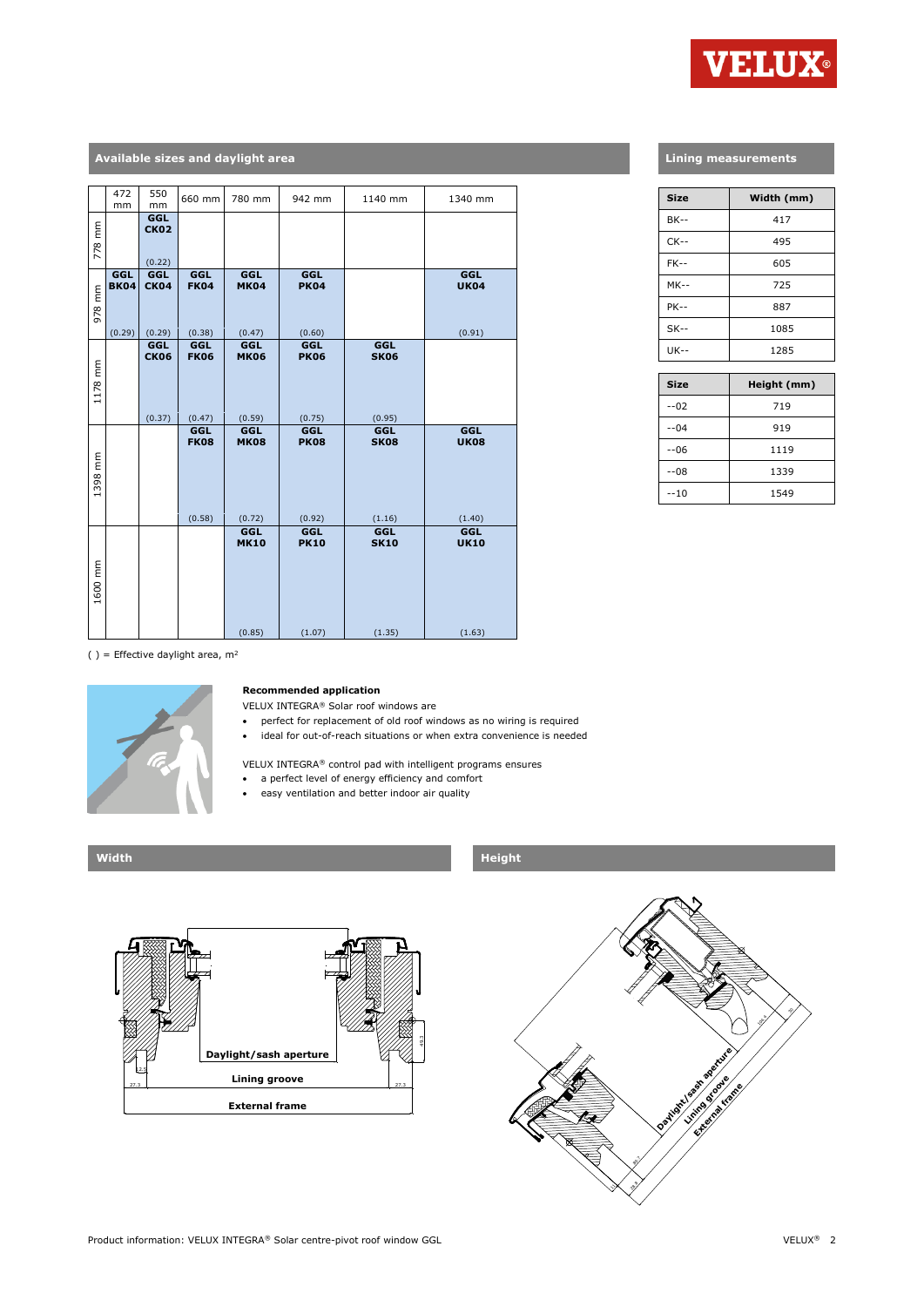

# **Available sizes and daylight area**

|         | 472<br>mm                    | 550<br>mm                    | 660 mm                       | 780 mm                              | 942 mm                              | 1140 mm                      | 1340 mm                      |
|---------|------------------------------|------------------------------|------------------------------|-------------------------------------|-------------------------------------|------------------------------|------------------------------|
| 778 mm  |                              | GGL<br><b>CK02</b><br>(0.22) |                              |                                     |                                     |                              |                              |
| 978 mm  | GGL<br><b>BK04</b><br>(0.29) | GGL<br><b>CK04</b><br>(0.29) | GGL<br><b>FK04</b><br>(0.38) | <b>GGL</b><br><b>MK04</b><br>(0.47) | <b>GGL</b><br><b>PK04</b><br>(0.60) |                              | GGL<br><b>UK04</b><br>(0.91) |
| 1178 mm |                              | GGL<br><b>CK06</b><br>(0.37) | GGL<br><b>FK06</b><br>(0.47) | GGL<br><b>MK06</b><br>(0.59)        | <b>GGL</b><br><b>PK06</b><br>(0.75) | GGL<br><b>SK06</b><br>(0.95) |                              |
| 1398 mm |                              |                              | GGL<br><b>FK08</b><br>(0.58) | <b>GGL</b><br><b>MK08</b><br>(0.72) | <b>GGL</b><br><b>PK08</b><br>(0.92) | GGL<br><b>SK08</b><br>(1.16) | GGL<br><b>UK08</b><br>(1.40) |
| 1600 mm |                              |                              |                              | <b>GGL</b><br><b>MK10</b><br>(0.85) | <b>GGL</b><br><b>PK10</b><br>(1.07) | GGL<br><b>SK10</b><br>(1.35) | GGL<br><b>UK10</b><br>(1.63) |

## **Lining measurements**

| <b>Size</b> | Width (mm) |
|-------------|------------|
| <b>BK--</b> | 417        |
| $CK--$      | 495        |
| $FK-$       | 605        |
| $MK--$      | 725        |
| <b>PK--</b> | 887        |
| $SK--$      | 1085       |
| $UK - -$    | 1285       |

| <b>Size</b> | Height (mm) |
|-------------|-------------|
| $-02$       | 719         |
| $-04$       | 919         |
| $-06$       | 1119        |
| $-08$       | 1339        |
| $-10$       | 1549        |

( ) = Effective daylight area,  $m^2$ 



#### **Recommended application**

VELUX INTEGRA® Solar roof windows are

- perfect for replacement of old roof windows as no wiring is required
- ideal for out-of-reach situations or when extra convenience is needed

VELUX INTEGRA® control pad with intelligent programs ensures

- a perfect level of energy efficiency and comfort
	- easy ventilation and better indoor air quality





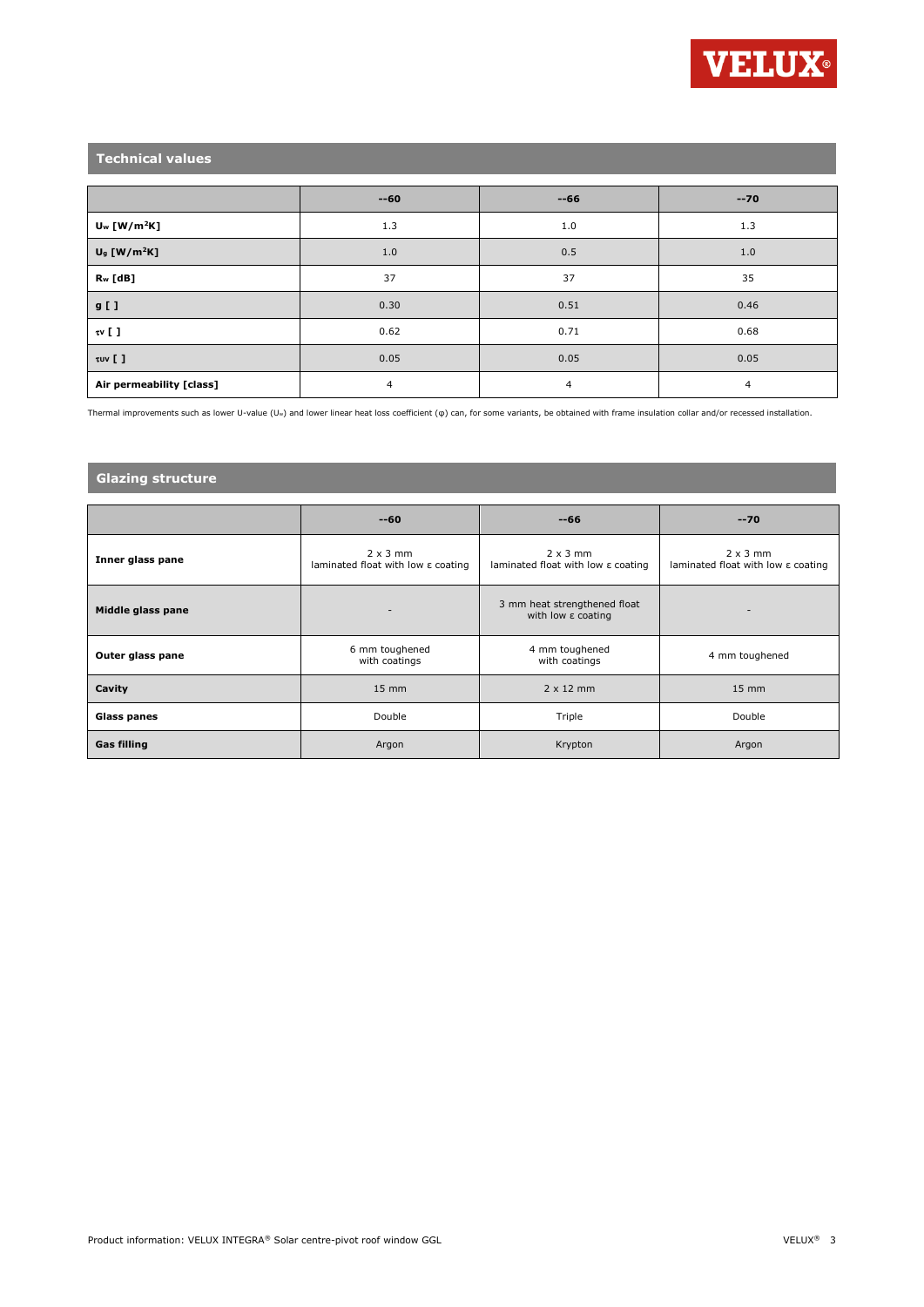

# **Technical values**

|                            | $-60$ | $-66$ | $-70$ |
|----------------------------|-------|-------|-------|
| $U_w$ [W/m <sup>2</sup> K] | 1.3   | 1.0   | 1.3   |
| $U9$ [W/m <sup>2</sup> K]  | 1.0   | 0.5   | 1.0   |
| R <sub>w</sub> [dB]        | 37    | 37    | 35    |
| $g$ [ ]                    | 0.30  | 0.51  | 0.46  |
| $\mathfrak{w}$ [ ]         | 0.62  | 0.71  | 0.68  |
| τυν [ ]                    | 0.05  | 0.05  | 0.05  |
| Air permeability [class]   | 4     | 4     | 4     |

Thermal improvements such as lower U-value (Uw) and lower linear heat loss coefficient (φ) can, for some variants, be obtained with frame insulation collar and/or recessed installation.

# **Glazing structure**

|                    | $-60$                                                             | $-66$                                                             | $-70$                                                             |
|--------------------|-------------------------------------------------------------------|-------------------------------------------------------------------|-------------------------------------------------------------------|
| Inner glass pane   | $2 \times 3$ mm<br>laminated float with low $\varepsilon$ coating | $2 \times 3$ mm<br>laminated float with low $\varepsilon$ coating | $2 \times 3$ mm<br>laminated float with low $\varepsilon$ coating |
| Middle glass pane  |                                                                   | 3 mm heat strengthened float<br>with low $\varepsilon$ coating    |                                                                   |
| Outer glass pane   | 6 mm toughened<br>with coatings                                   | 4 mm toughened<br>with coatings                                   | 4 mm toughened                                                    |
| Cavity             | $15 \text{ mm}$                                                   | $2 \times 12$ mm                                                  | $15 \text{ mm}$                                                   |
| <b>Glass panes</b> | Double                                                            | Triple                                                            | Double                                                            |
| <b>Gas filling</b> | Argon                                                             | Krypton                                                           | Argon                                                             |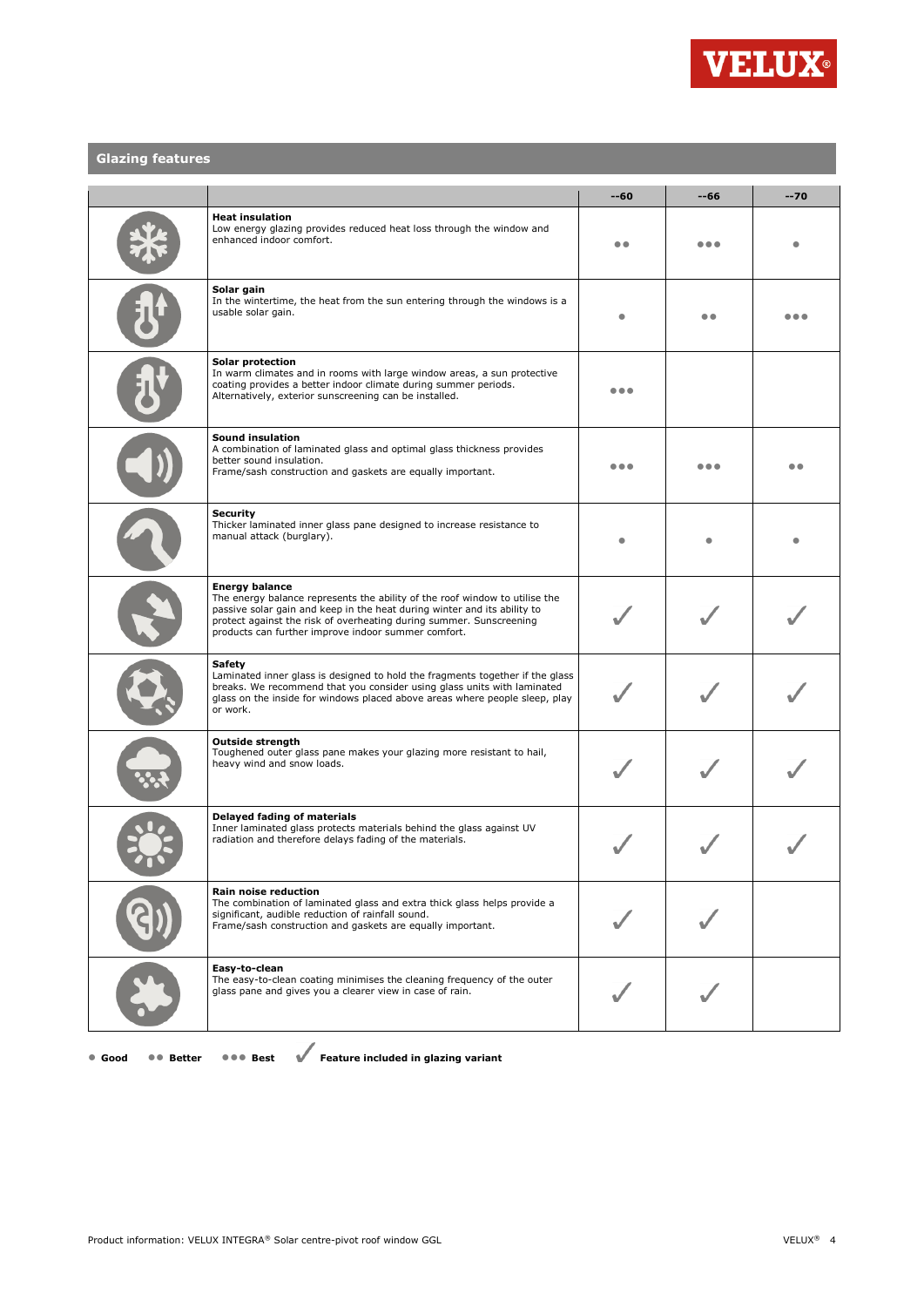

# **Glazing features**

|                                                                                                                                                                                                                                                                                                                | --60 | --66 | $-70$ |
|----------------------------------------------------------------------------------------------------------------------------------------------------------------------------------------------------------------------------------------------------------------------------------------------------------------|------|------|-------|
| <b>Heat insulation</b><br>Low energy glazing provides reduced heat loss through the window and<br>enhanced indoor comfort.                                                                                                                                                                                     |      | .    |       |
| Solar gain<br>In the wintertime, the heat from the sun entering through the windows is a<br>usable solar gain.                                                                                                                                                                                                 |      |      |       |
| Solar protection<br>In warm climates and in rooms with large window areas, a sun protective<br>coating provides a better indoor climate during summer periods.<br>Alternatively, exterior sunscreening can be installed.                                                                                       | .    |      |       |
| <b>Sound insulation</b><br>A combination of laminated glass and optimal glass thickness provides<br>better sound insulation.<br>Frame/sash construction and gaskets are equally important.                                                                                                                     | .    |      | . .   |
| <b>Security</b><br>Thicker laminated inner glass pane designed to increase resistance to<br>manual attack (burglary).                                                                                                                                                                                          |      |      |       |
| <b>Energy balance</b><br>The energy balance represents the ability of the roof window to utilise the<br>passive solar gain and keep in the heat during winter and its ability to<br>protect against the risk of overheating during summer. Sunscreening<br>products can further improve indoor summer comfort. |      |      |       |
| Safety<br>Laminated inner glass is designed to hold the fragments together if the glass<br>breaks. We recommend that you consider using glass units with laminated<br>glass on the inside for windows placed above areas where people sleep, play<br>or work.                                                  |      |      |       |
| <b>Outside strength</b><br>Toughened outer glass pane makes your glazing more resistant to hail,<br>heavy wind and snow loads.                                                                                                                                                                                 |      |      |       |
| Delayed fading of materials<br>Inner laminated glass protects materials behind the glass against UV<br>radiation and therefore delays fading of the materials.                                                                                                                                                 |      |      |       |
| <b>Rain noise reduction</b><br>The combination of laminated glass and extra thick glass helps provide a<br>significant, audible reduction of rainfall sound.<br>Frame/sash construction and gaskets are equally important.                                                                                     |      |      |       |
| Easy-to-clean<br>The easy-to-clean coating minimises the cleaning frequency of the outer<br>glass pane and gives you a clearer view in case of rain.                                                                                                                                                           |      |      |       |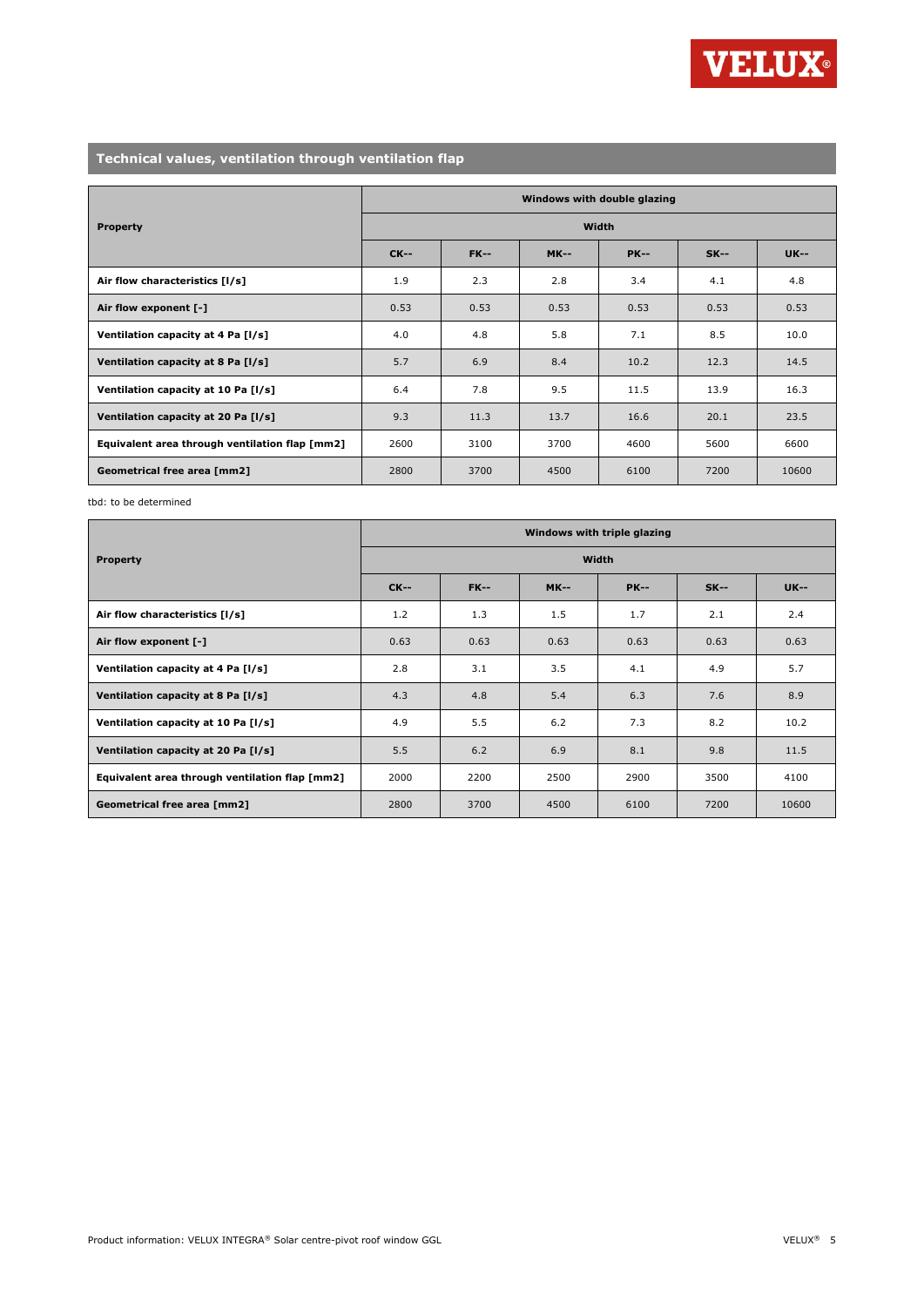

# **Technical values, ventilation through ventilation flap**

|                                                | Windows with double glazing |             |             |             |        |             |
|------------------------------------------------|-----------------------------|-------------|-------------|-------------|--------|-------------|
| <b>Property</b>                                | Width                       |             |             |             |        |             |
|                                                | $CK--$                      | <b>FK--</b> | <b>MK--</b> | <b>PK--</b> | $SK--$ | <b>UK--</b> |
| Air flow characteristics [I/s]                 | 1.9                         | 2.3         | 2.8         | 3.4         | 4.1    | 4.8         |
| Air flow exponent [-]                          | 0.53                        | 0.53        | 0.53        | 0.53        | 0.53   | 0.53        |
| Ventilation capacity at 4 Pa [I/s]             | 4.0                         | 4.8         | 5.8         | 7.1         | 8.5    | 10.0        |
| Ventilation capacity at 8 Pa [I/s]             | 5.7                         | 6.9         | 8.4         | 10.2        | 12.3   | 14.5        |
| Ventilation capacity at 10 Pa [I/s]            | 6.4                         | 7.8         | 9.5         | 11.5        | 13.9   | 16.3        |
| Ventilation capacity at 20 Pa [I/s]            | 9.3                         | 11.3        | 13.7        | 16.6        | 20.1   | 23.5        |
| Equivalent area through ventilation flap [mm2] | 2600                        | 3100        | 3700        | 4600        | 5600   | 6600        |
| Geometrical free area [mm2]                    | 2800                        | 3700        | 4500        | 6100        | 7200   | 10600       |

tbd: to be determined

|                                                | Windows with triple glazing |             |             |             |        |             |
|------------------------------------------------|-----------------------------|-------------|-------------|-------------|--------|-------------|
| <b>Property</b>                                | <b>Width</b>                |             |             |             |        |             |
|                                                | $CK-$                       | <b>FK--</b> | <b>MK--</b> | <b>PK--</b> | $SK--$ | <b>UK--</b> |
| Air flow characteristics [1/s]                 | 1.2                         | 1.3         | 1.5         | 1.7         | 2.1    | 2.4         |
| Air flow exponent [-]                          | 0.63                        | 0.63        | 0.63        | 0.63        | 0.63   | 0.63        |
| Ventilation capacity at 4 Pa [I/s]             | 2.8                         | 3.1         | 3.5         | 4.1         | 4.9    | 5.7         |
| Ventilation capacity at 8 Pa [I/s]             | 4.3                         | 4.8         | 5.4         | 6.3         | 7.6    | 8.9         |
| Ventilation capacity at 10 Pa [I/s]            | 4.9                         | 5.5         | 6.2         | 7.3         | 8.2    | 10.2        |
| Ventilation capacity at 20 Pa [I/s]            | 5.5                         | 6.2         | 6.9         | 8.1         | 9.8    | 11.5        |
| Equivalent area through ventilation flap [mm2] | 2000                        | 2200        | 2500        | 2900        | 3500   | 4100        |
| Geometrical free area [mm2]                    | 2800                        | 3700        | 4500        | 6100        | 7200   | 10600       |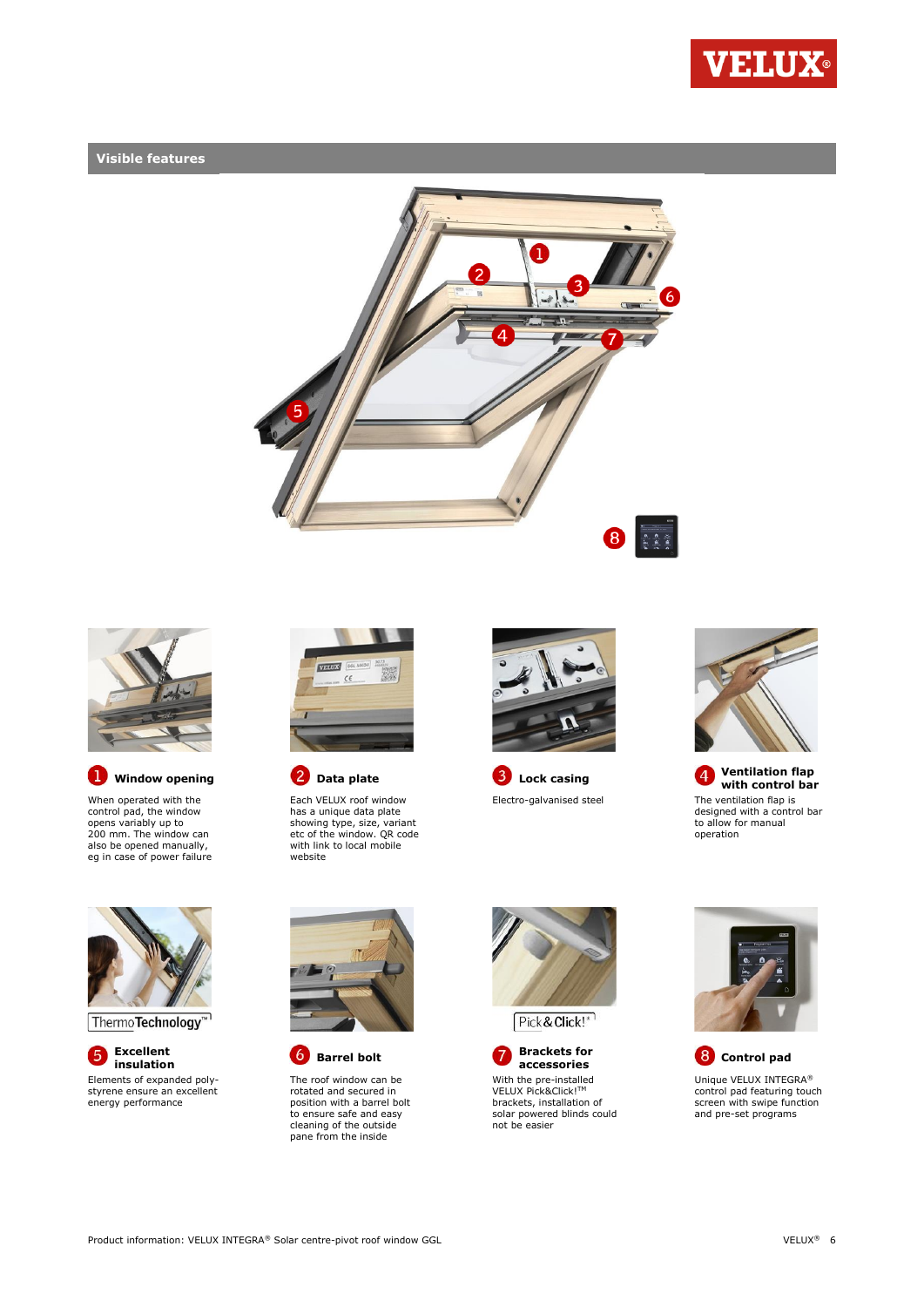

# **Visible features**





**D** Window opening **C** Data plate **C** Lock casing **C** Ventilation flap

When operated with the control pad, the window opens variably up to 200 mm. The window can also be opened manually, eg in case of power failure



Each VELUX roof window has a unique data plate showing type, size, variant etc of the window. QR code with link to local mobile website





**with control bar** Electro-galvanised steel The ventilation flap is designed with a control bar to allow for manual operation



Thermo**Technology**<sup>™1</sup>

**Excellent**  6 Elements of expanded polystyrene ensure an excellent energy performance



The roof window can be rotated and secured in position with a barrel bolt to ensure safe and easy cleaning of the outside pane from the inside







**accessories Control pad** Unique VELUX INTEGRA® control pad featuring touch screen with swipe function and pre-set programs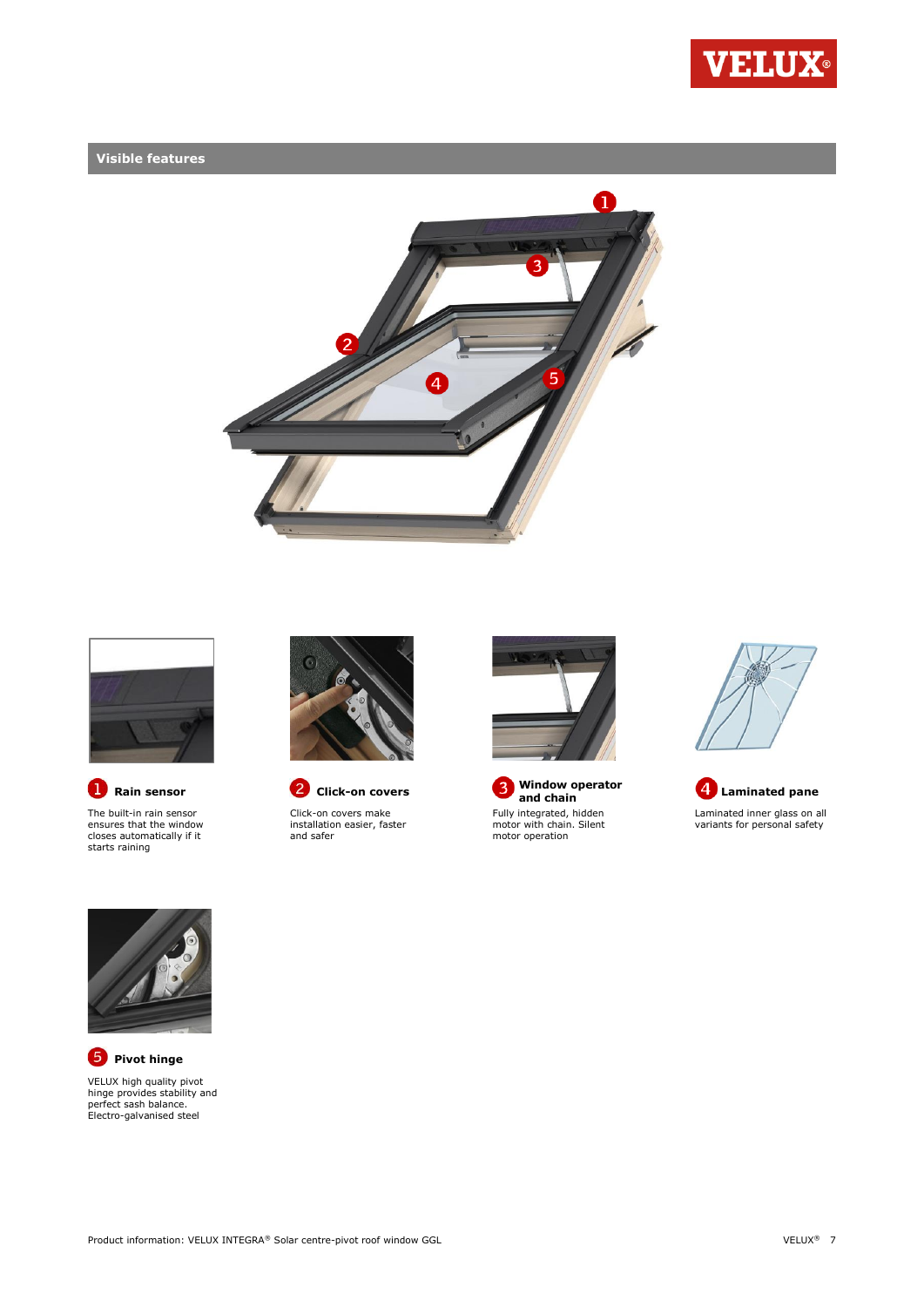

# **Visible features**





The built-in rain sensor ensures that the window closes automatically if it starts raining





Click-on covers make installation easier, faster and safer



**B** Window operator<br>and chain Fully integrated, hidden motor with chain. Silent motor operation







**P** Pivot hinge VELUX high quality pivot hinge provides stability and perfect sash balance. Electro-galvanised steel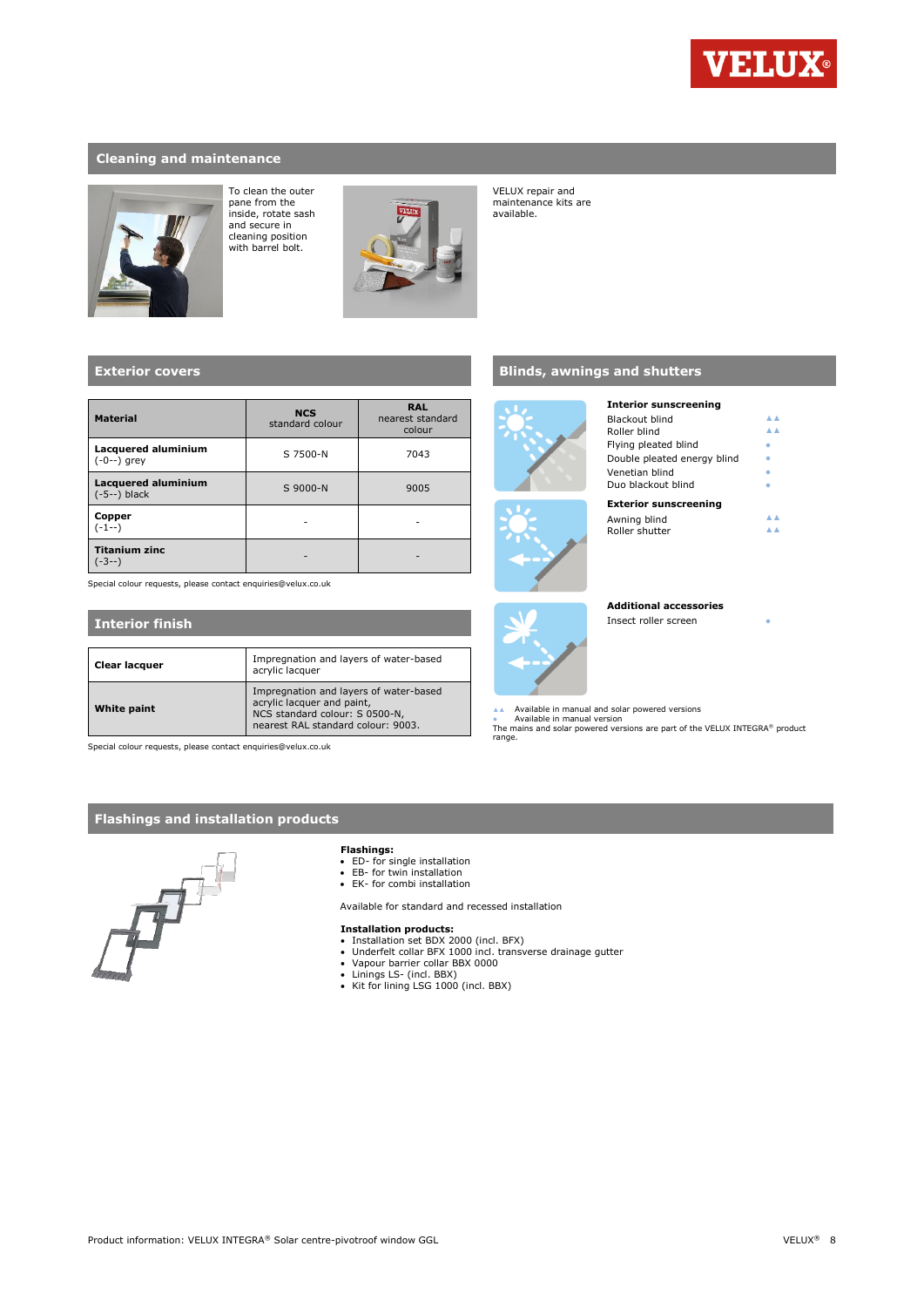

### **Cleaning and maintenance**



To clean the outer pane from the inside, rotate sash and secure in cleaning position with barrel bolt.



VELUX repair and maintenance kits are available.

### **Exterior covers**

| <b>Material</b>                              | <b>NCS</b><br>standard colour | <b>RAL</b><br>nearest standard<br>colour |  |
|----------------------------------------------|-------------------------------|------------------------------------------|--|
| Lacquered aluminium<br>$(-0--)$ grey         | S 7500-N                      | 7043                                     |  |
| <b>Lacquered aluminium</b><br>$(-5--)$ black | S 9000-N                      | 9005                                     |  |
| Copper<br>(-1--)                             |                               |                                          |  |
| <b>Titanium zinc</b><br>-3--)                |                               |                                          |  |

Special colour requests, please contact enquiries@velux.co.uk

#### **Interior finish Clear lacquer** Impregnation and layers of water-based acrylic lacquer **White paint** Impregnation and layers of water-based acrylic lacquer and paint, NCS standard colour: S 0500-N, nearest RAL standard colour: 9003.

Special colour requests, please contact enquiries@velux.co.uk

## **Flashings and installation products**



#### **Flashings:**

- 
- ED- for single installation EB- for twin installation
- EK- for combi installation

Available for standard and recessed installation

- 
- **Installation products:**<br>• Installation set BDX 2000 (incl. BFX)<br>• Underfelt collar BFX 1000 incl. transverse drainage gutter<br>• Vapour barrier collar BBX 0000
- 
- Linings LS- (incl. BBX) Kit for lining LSG 1000 (incl. BBX)

## **Blinds, awnings and shutters**





# **Exterior sunscreening** Awning blind ▲▲<br>Pollor chutter Roller shutter

Blackout blind ▲▲<br>Poller blind → Roller blind<br>
Flying pleated blind

**Additional accessories** Insect roller screen

**Interior sunscreening**

Flying pleated blind  $\overline{D}$  Double pleated energy blind  $V$ enetian blind  $\bullet$ Duo blackout blind **Blue Blue Blue Blue Blue Blue** 

▲▲ Available in manual and solar powered versions<br>● Available in manual version<br>The mains and solar powered versions are part of the VELUX INTEGRA® product range.